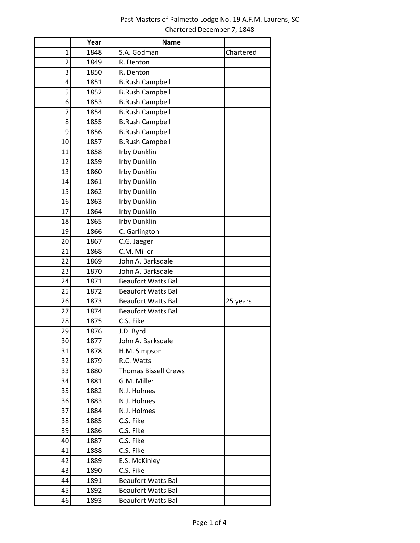## Past Masters of Palmetto Lodge No. 19 A.F.M. Laurens, SC Chartered December 7, 1848

|                         | Year | <b>Name</b>                 |           |
|-------------------------|------|-----------------------------|-----------|
| 1                       | 1848 | S.A. Godman                 | Chartered |
| $\overline{\mathbf{c}}$ | 1849 | R. Denton                   |           |
| 3                       | 1850 | R. Denton                   |           |
| 4                       | 1851 | <b>B.Rush Campbell</b>      |           |
| 5                       | 1852 | <b>B.Rush Campbell</b>      |           |
| 6                       | 1853 | <b>B.Rush Campbell</b>      |           |
| 7                       | 1854 | <b>B.Rush Campbell</b>      |           |
| 8                       | 1855 | <b>B.Rush Campbell</b>      |           |
| 9                       | 1856 | <b>B.Rush Campbell</b>      |           |
| 10                      | 1857 | <b>B.Rush Campbell</b>      |           |
| 11                      | 1858 | Irby Dunklin                |           |
| 12                      | 1859 | Irby Dunklin                |           |
| 13                      | 1860 | Irby Dunklin                |           |
| 14                      | 1861 | Irby Dunklin                |           |
| 15                      | 1862 | <b>Irby Dunklin</b>         |           |
| 16                      | 1863 | Irby Dunklin                |           |
| 17                      | 1864 | Irby Dunklin                |           |
| 18                      | 1865 | Irby Dunklin                |           |
| 19                      | 1866 | C. Garlington               |           |
| 20                      | 1867 | C.G. Jaeger                 |           |
| 21                      | 1868 | C.M. Miller                 |           |
| 22                      | 1869 | John A. Barksdale           |           |
| 23                      | 1870 | John A. Barksdale           |           |
| 24                      | 1871 | <b>Beaufort Watts Ball</b>  |           |
| 25                      | 1872 | <b>Beaufort Watts Ball</b>  |           |
| 26                      | 1873 | <b>Beaufort Watts Ball</b>  | 25 years  |
| 27                      | 1874 | <b>Beaufort Watts Ball</b>  |           |
| 28                      | 1875 | C.S. Fike                   |           |
| 29                      | 1876 | J.D. Byrd                   |           |
| 30                      | 1877 | John A. Barksdale           |           |
| 31                      | 1878 | H.M. Simpson                |           |
| 32                      | 1879 | R.C. Watts                  |           |
| 33                      | 1880 | <b>Thomas Bissell Crews</b> |           |
| 34                      | 1881 | G.M. Miller                 |           |
| 35                      | 1882 | N.J. Holmes                 |           |
| 36                      | 1883 | N.J. Holmes                 |           |
| 37                      | 1884 | N.J. Holmes                 |           |
| 38                      | 1885 | C.S. Fike                   |           |
| 39                      | 1886 | C.S. Fike                   |           |
| 40                      | 1887 | C.S. Fike                   |           |
| 41                      | 1888 | C.S. Fike                   |           |
| 42                      | 1889 | E.S. McKinley               |           |
| 43                      | 1890 | C.S. Fike                   |           |
| 44                      | 1891 | <b>Beaufort Watts Ball</b>  |           |
| 45                      | 1892 | <b>Beaufort Watts Ball</b>  |           |
| 46                      | 1893 | <b>Beaufort Watts Ball</b>  |           |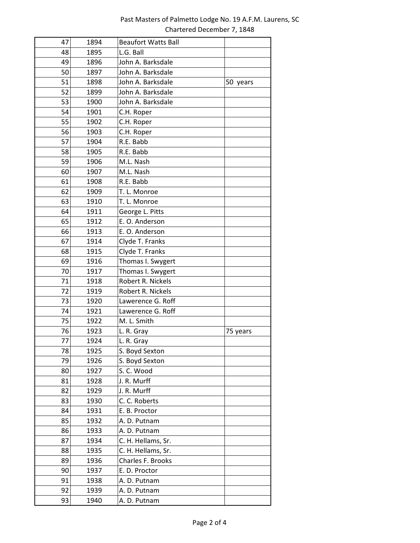## Past Masters of Palmetto Lodge No. 19 A.F.M. Laurens, SC Chartered December 7, 1848

| 47 | 1894 | <b>Beaufort Watts Ball</b> |          |
|----|------|----------------------------|----------|
| 48 | 1895 | L.G. Ball                  |          |
| 49 | 1896 | John A. Barksdale          |          |
| 50 | 1897 | John A. Barksdale          |          |
| 51 | 1898 | John A. Barksdale          | 50 years |
| 52 | 1899 | John A. Barksdale          |          |
| 53 | 1900 | John A. Barksdale          |          |
| 54 | 1901 | C.H. Roper                 |          |
| 55 | 1902 | C.H. Roper                 |          |
| 56 | 1903 | C.H. Roper                 |          |
| 57 | 1904 | R.E. Babb                  |          |
| 58 | 1905 | R.E. Babb                  |          |
| 59 | 1906 | M.L. Nash                  |          |
| 60 | 1907 | M.L. Nash                  |          |
| 61 | 1908 | R.E. Babb                  |          |
| 62 | 1909 | T. L. Monroe               |          |
| 63 | 1910 | T. L. Monroe               |          |
| 64 | 1911 | George L. Pitts            |          |
| 65 | 1912 | E. O. Anderson             |          |
| 66 | 1913 | E. O. Anderson             |          |
| 67 | 1914 | Clyde T. Franks            |          |
| 68 | 1915 | Clyde T. Franks            |          |
| 69 | 1916 | Thomas I. Swygert          |          |
| 70 | 1917 | Thomas I. Swygert          |          |
| 71 | 1918 | Robert R. Nickels          |          |
| 72 | 1919 | Robert R. Nickels          |          |
| 73 | 1920 | Lawerence G. Roff          |          |
| 74 | 1921 | Lawerence G. Roff          |          |
| 75 | 1922 | M. L. Smith                |          |
| 76 | 1923 | L. R. Gray                 | 75 years |
| 77 | 1924 | L. R. Gray                 |          |
| 78 | 1925 | S. Boyd Sexton             |          |
| 79 | 1926 | S. Boyd Sexton             |          |
| 80 | 1927 | S. C. Wood                 |          |
| 81 | 1928 | J. R. Murff                |          |
| 82 | 1929 | J. R. Murff                |          |
| 83 | 1930 | C. C. Roberts              |          |
| 84 | 1931 | E. B. Proctor              |          |
| 85 | 1932 | A. D. Putnam               |          |
| 86 | 1933 | A. D. Putnam               |          |
| 87 | 1934 | C. H. Hellams, Sr.         |          |
| 88 | 1935 | C. H. Hellams, Sr.         |          |
| 89 | 1936 | Charles F. Brooks          |          |
| 90 | 1937 | E. D. Proctor              |          |
| 91 | 1938 | A. D. Putnam               |          |
| 92 | 1939 | A. D. Putnam               |          |
| 93 | 1940 | A. D. Putnam               |          |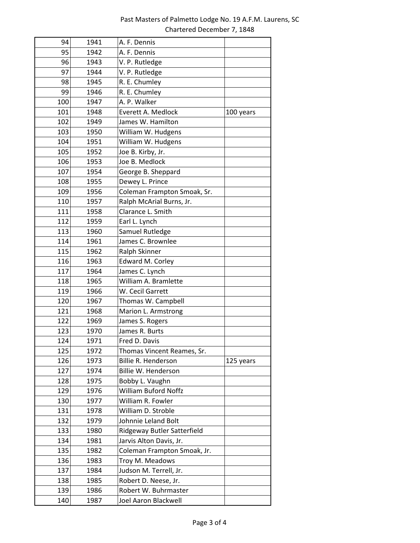| 94  | 1941 | A. F. Dennis                |           |
|-----|------|-----------------------------|-----------|
| 95  | 1942 | A. F. Dennis                |           |
| 96  | 1943 | V. P. Rutledge              |           |
| 97  | 1944 | V. P. Rutledge              |           |
| 98  | 1945 | R. E. Chumley               |           |
| 99  | 1946 | R. E. Chumley               |           |
| 100 | 1947 | A. P. Walker                |           |
| 101 | 1948 | Everett A. Medlock          | 100 years |
| 102 | 1949 | James W. Hamilton           |           |
| 103 | 1950 | William W. Hudgens          |           |
| 104 | 1951 | William W. Hudgens          |           |
| 105 | 1952 | Joe B. Kirby, Jr.           |           |
| 106 | 1953 | Joe B. Medlock              |           |
| 107 | 1954 | George B. Sheppard          |           |
| 108 | 1955 | Dewey L. Prince             |           |
| 109 | 1956 | Coleman Frampton Smoak, Sr. |           |
| 110 | 1957 | Ralph McArial Burns, Jr.    |           |
| 111 | 1958 | Clarance L. Smith           |           |
| 112 | 1959 | Earl L. Lynch               |           |
| 113 | 1960 | Samuel Rutledge             |           |
| 114 | 1961 | James C. Brownlee           |           |
| 115 | 1962 | Ralph Skinner               |           |
| 116 | 1963 | Edward M. Corley            |           |
| 117 | 1964 | James C. Lynch              |           |
| 118 | 1965 | William A. Bramlette        |           |
| 119 | 1966 | W. Cecil Garrett            |           |
| 120 | 1967 | Thomas W. Campbell          |           |
| 121 | 1968 | Marion L. Armstrong         |           |
| 122 | 1969 | James S. Rogers             |           |
| 123 | 1970 | James R. Burts              |           |
| 124 | 1971 | Fred D. Davis               |           |
| 125 | 1972 | Thomas Vincent Reames, Sr.  |           |
| 126 | 1973 | Billie R. Henderson         | 125 years |
| 127 | 1974 | Billie W. Henderson         |           |
| 128 | 1975 | Bobby L. Vaughn             |           |
| 129 | 1976 | <b>William Buford Noffz</b> |           |
| 130 | 1977 | William R. Fowler           |           |
| 131 | 1978 | William D. Stroble          |           |
| 132 | 1979 | Johnnie Leland Bolt         |           |
| 133 | 1980 | Ridgeway Butler Satterfield |           |
| 134 | 1981 | Jarvis Alton Davis, Jr.     |           |
| 135 | 1982 | Coleman Frampton Smoak, Jr. |           |
| 136 | 1983 | Troy M. Meadows             |           |
| 137 | 1984 | Judson M. Terrell, Jr.      |           |
| 138 | 1985 | Robert D. Neese, Jr.        |           |
| 139 | 1986 | Robert W. Buhrmaster        |           |
| 140 | 1987 | Joel Aaron Blackwell        |           |